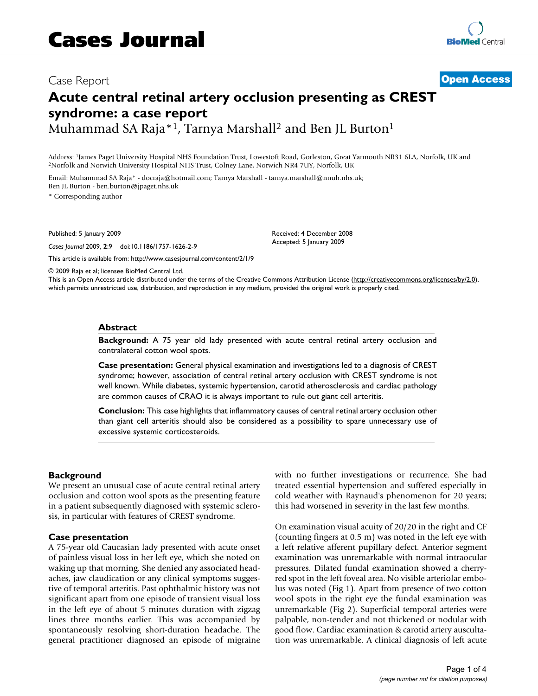# Case Report **[Open Access](http://www.biomedcentral.com/info/about/charter/)**

# **Acute central retinal artery occlusion presenting as CREST syndrome: a case report**

Muhammad SA Raja\*1, Tarnya Marshall2 and Ben JL Burton1

Address: <sup>1</sup>James Paget University Hospital NHS Foundation Trust, Lowestoft Road, Gorleston, Great Yarmouth NR31 6LA, Norfolk, UK and <sup>2</sup>Norfolk and Norwich University Hospital NHS Trust, Colney Lane, Norwich NR4 7UY, Norf

Email: Muhammad SA Raja\* - docraja@hotmail.com; Tarnya Marshall - tarnya.marshall@nnuh.nhs.uk; Ben JL Burton - ben.burton@jpaget.nhs.uk

\* Corresponding author

Published: 5 January 2009

*Cases Journal* 2009, **2**:9 doi:10.1186/1757-1626-2-9

[This article is available from: http://www.casesjournal.com/content/2/1/9](http://www.casesjournal.com/content/2/1/9)

© 2009 Raja et al; licensee BioMed Central Ltd.

This is an Open Access article distributed under the terms of the Creative Commons Attribution License [\(http://creativecommons.org/licenses/by/2.0\)](http://creativecommons.org/licenses/by/2.0), which permits unrestricted use, distribution, and reproduction in any medium, provided the original work is properly cited.

Received: 4 December 2008 Accepted: 5 January 2009

#### **Abstract**

**Background:** A 75 year old lady presented with acute central retinal artery occlusion and contralateral cotton wool spots.

**Case presentation:** General physical examination and investigations led to a diagnosis of CREST syndrome; however, association of central retinal artery occlusion with CREST syndrome is not well known. While diabetes, systemic hypertension, carotid atherosclerosis and cardiac pathology are common causes of CRAO it is always important to rule out giant cell arteritis.

**Conclusion:** This case highlights that inflammatory causes of central retinal artery occlusion other than giant cell arteritis should also be considered as a possibility to spare unnecessary use of excessive systemic corticosteroids.

#### **Background**

We present an unusual case of acute central retinal artery occlusion and cotton wool spots as the presenting feature in a patient subsequently diagnosed with systemic sclerosis, in particular with features of CREST syndrome.

#### **Case presentation**

A 75-year old Caucasian lady presented with acute onset of painless visual loss in her left eye, which she noted on waking up that morning. She denied any associated headaches, jaw claudication or any clinical symptoms suggestive of temporal arteritis. Past ophthalmic history was not significant apart from one episode of transient visual loss in the left eye of about 5 minutes duration with zigzag lines three months earlier. This was accompanied by spontaneously resolving short-duration headache. The general practitioner diagnosed an episode of migraine with no further investigations or recurrence. She had treated essential hypertension and suffered especially in cold weather with Raynaud's phenomenon for 20 years; this had worsened in severity in the last few months.

On examination visual acuity of 20/20 in the right and CF (counting fingers at 0.5 m) was noted in the left eye with a left relative afferent pupillary defect. Anterior segment examination was unremarkable with normal intraocular pressures. Dilated fundal examination showed a cherryred spot in the left foveal area. No visible arteriolar embolus was noted (Fig 1). Apart from presence of two cotton wool spots in the right eye the fundal examination was unremarkable (Fig 2). Superficial temporal arteries were palpable, non-tender and not thickened or nodular with good flow. Cardiac examination & carotid artery auscultation was unremarkable. A clinical diagnosis of left acute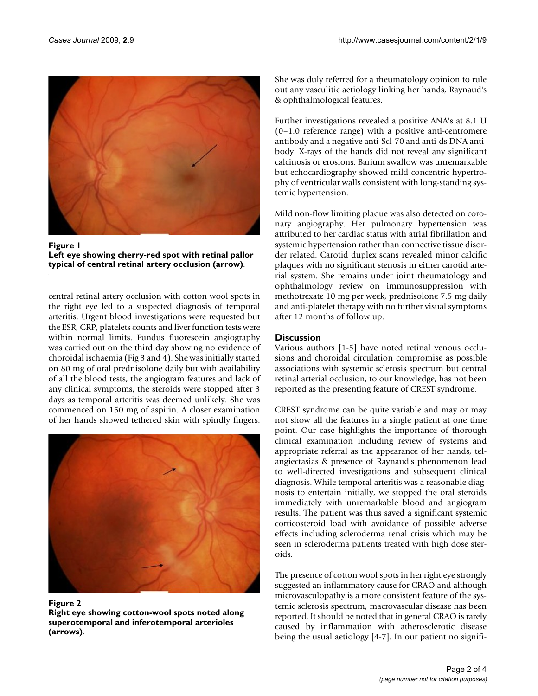

Figure 1 **Left eye showing cherry-red spot with retinal pallor typical of central retinal artery occlusion (arrow)**.

central retinal artery occlusion with cotton wool spots in the right eye led to a suspected diagnosis of temporal arteritis. Urgent blood investigations were requested but the ESR, CRP, platelets counts and liver function tests were within normal limits. Fundus fluorescein angiography was carried out on the third day showing no evidence of choroidal ischaemia (Fig 3 and 4). She was initially started on 80 mg of oral prednisolone daily but with availability of all the blood tests, the angiogram features and lack of any clinical symptoms, the steroids were stopped after 3 days as temporal arteritis was deemed unlikely. She was commenced on 150 mg of aspirin. A closer examination of her hands showed tethered skin with spindly fingers.



Figure 2 **Right eye showing cotton-wool spots noted along superotemporal and inferotemporal arterioles (arrows)**.

She was duly referred for a rheumatology opinion to rule out any vasculitic aetiology linking her hands, Raynaud's & ophthalmological features.

Further investigations revealed a positive ANA's at 8.1 U (0–1.0 reference range) with a positive anti-centromere antibody and a negative anti-Scl-70 and anti-ds DNA antibody. X-rays of the hands did not reveal any significant calcinosis or erosions. Barium swallow was unremarkable but echocardiography showed mild concentric hypertrophy of ventricular walls consistent with long-standing systemic hypertension.

Mild non-flow limiting plaque was also detected on coronary angiography. Her pulmonary hypertension was attributed to her cardiac status with atrial fibrillation and systemic hypertension rather than connective tissue disorder related. Carotid duplex scans revealed minor calcific plaques with no significant stenosis in either carotid arterial system. She remains under joint rheumatology and ophthalmology review on immunosuppression with methotrexate 10 mg per week, prednisolone 7.5 mg daily and anti-platelet therapy with no further visual symptoms after 12 months of follow up.

# **Discussion**

Various authors [1-5] have noted retinal venous occlusions and choroidal circulation compromise as possible associations with systemic sclerosis spectrum but central retinal arterial occlusion, to our knowledge, has not been reported as the presenting feature of CREST syndrome.

CREST syndrome can be quite variable and may or may not show all the features in a single patient at one time point. Our case highlights the importance of thorough clinical examination including review of systems and appropriate referral as the appearance of her hands, telangiectasias & presence of Raynaud's phenomenon lead to well-directed investigations and subsequent clinical diagnosis. While temporal arteritis was a reasonable diagnosis to entertain initially, we stopped the oral steroids immediately with unremarkable blood and angiogram results. The patient was thus saved a significant systemic corticosteroid load with avoidance of possible adverse effects including scleroderma renal crisis which may be seen in scleroderma patients treated with high dose steroids.

The presence of cotton wool spots in her right eye strongly suggested an inflammatory cause for CRAO and although microvasculopathy is a more consistent feature of the systemic sclerosis spectrum, macrovascular disease has been reported. It should be noted that in general CRAO is rarely caused by inflammation with atherosclerotic disease being the usual aetiology [4-7]. In our patient no signifi-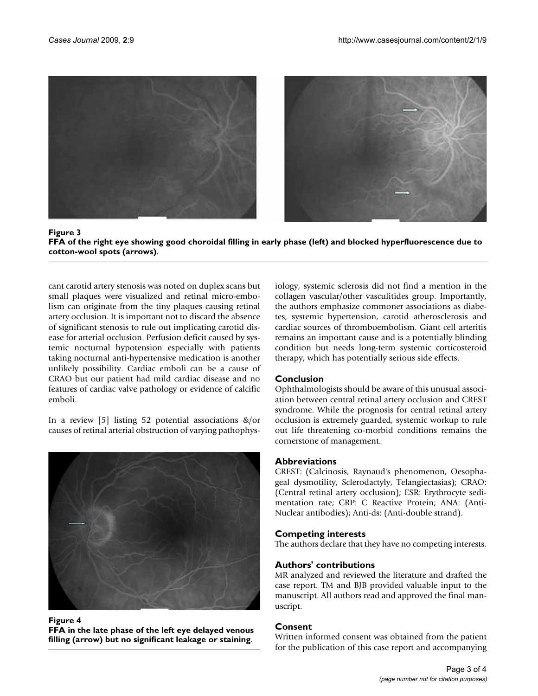



cant carotid artery stenosis was noted on duplex scans but small plaques were visualized and retinal micro-embolism can originate from the tiny plaques causing retinal artery occlusion. It is important not to discard the absence of significant stenosis to rule out implicating carotid disease for arterial occlusion. Perfusion deficit caused by systemic nocturnal hypotension especially with patients taking nocturnal anti-hypertensive medication is another unlikely possibility. Cardiac emboli can be a cause of CRAO but our patient had mild cardiac disease and no features of cardiac valve pathology or evidence of calcific emboli.

In a review [5] listing 52 potential associations &/or causes of retinal arterial obstruction of varying pathophys-



#### Figure 4

**FFA in the late phase of the left eye delayed venous filling (arrow) but no significant leakage or staining**.

iology, systemic sclerosis did not find a mention in the collagen vascular/other vasculitides group. Importantly, the authors emphasize commoner associations as diabetes, systemic hypertension, carotid atherosclerosis and cardiac sources of thromboembolism. Giant cell arteritis remains an important cause and is a potentially blinding condition but needs long-term systemic corticosteroid therapy, which has potentially serious side effects.

### **Conclusion**

Ophthalmologists should be aware of this unusual association between central retinal artery occlusion and CREST syndrome. While the prognosis for central retinal artery occlusion is extremely guarded, systemic workup to rule out life threatening co-morbid conditions remains the cornerstone of management.

### **Abbreviations**

CREST: (Calcinosis, Raynaud's phenomenon, Oesophageal dysmotility, Sclerodactyly, Telangiectasias); CRAO: (Central retinal artery occlusion); ESR: Erythrocyte sedimentation rate; CRP: C Reactive Protein; ANA: (Anti-Nuclear antibodies); Anti-ds: (Anti-double strand).

# **Competing interests**

The authors declare that they have no competing interests.

### **Authors' contributions**

MR analyzed and reviewed the literature and drafted the case report. TM and BJB provided valuable input to the manuscript. All authors read and approved the final manuscript.

# **Consent**

Written informed consent was obtained from the patient for the publication of this case report and accompanying